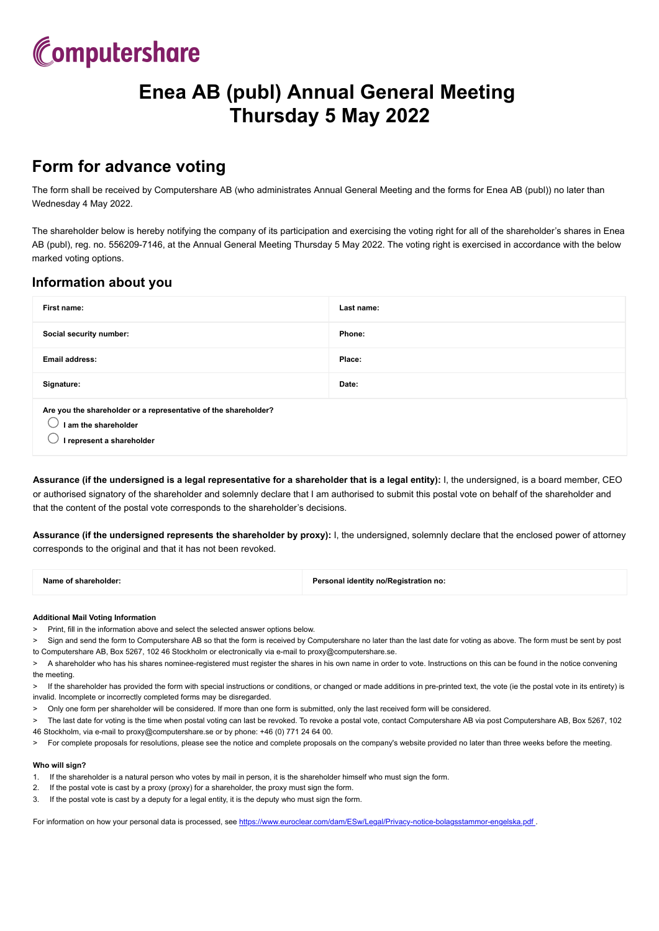

# **Enea AB (publ) Annual General Meeting Thursday 5 May 2022**

### **Form for advance voting**

The form shall be received by Computershare AB (who administrates Annual General Meeting and the forms for Enea AB (publ)) no later than Wednesday 4 May 2022.

The shareholder below is hereby notifying the company of its participation and exercising the voting right for all of the shareholder's shares in Enea AB (publ), reg. no. 556209-7146, at the Annual General Meeting Thursday 5 May 2022. The voting right is exercised in accordance with the below marked voting options.

### **Information about you**

| First name:                                                                                                          | Last name: |  |
|----------------------------------------------------------------------------------------------------------------------|------------|--|
| Social security number:                                                                                              | Phone:     |  |
| <b>Email address:</b>                                                                                                | Place:     |  |
| Signature:                                                                                                           | Date:      |  |
| Are you the shareholder or a representative of the shareholder?<br>I am the shareholder<br>I represent a shareholder |            |  |

**Assurance (if the undersigned is a legal representative for a shareholder that is a legal entity):** I, the undersigned, is a board member, CEO or authorised signatory of the shareholder and solemnly declare that I am authorised to submit this postal vote on behalf of the shareholder and that the content of the postal vote corresponds to the shareholder's decisions.

**Assurance (if the undersigned represents the shareholder by proxy):** I, the undersigned, solemnly declare that the enclosed power of attorney corresponds to the original and that it has not been revoked.

| Name of shareholder: | Personal identity no/Registration no: |
|----------------------|---------------------------------------|
|                      |                                       |

#### **Additional Mail Voting Information**

- > Print, fill in the information above and select the selected answer options below.
- Sign and send the form to Computershare AB so that the form is received by Computershare no later than the last date for voting as above. The form must be sent by post to Computershare AB, Box 5267, 102 46 Stockholm or electronically via e-mail to proxy@computershare.se.
- > A shareholder who has his shares nominee-registered must register the shares in his own name in order to vote. Instructions on this can be found in the notice convening the meeting.
- > If the shareholder has provided the form with special instructions or conditions, or changed or made additions in pre-printed text, the vote (ie the postal vote in its entirety) is invalid. Incomplete or incorrectly completed forms may be disregarded.
- > Only one form per shareholder will be considered. If more than one form is submitted, only the last received form will be considered.
- > The last date for voting is the time when postal voting can last be revoked. To revoke a postal vote, contact Computershare AB via post Computershare AB, Box 5267, 102 46 Stockholm, via e-mail to proxy@computershare.se or by phone: +46 (0) 771 24 64 00.
- > For complete proposals for resolutions, please see the notice and complete proposals on the company's website provided no later than three weeks before the meeting.

#### **Who will sign?**

- 1. If the shareholder is a natural person who votes by mail in person, it is the shareholder himself who must sign the form.
- 2. If the postal vote is cast by a proxy (proxy) for a shareholder, the proxy must sign the form.
- 3. If the postal vote is cast by a deputy for a legal entity, it is the deputy who must sign the form.

For information on how your personal data is processed, see <https://www.euroclear.com/dam/ESw/Legal/Privacy-notice-bolagsstammor-engelska.pdf>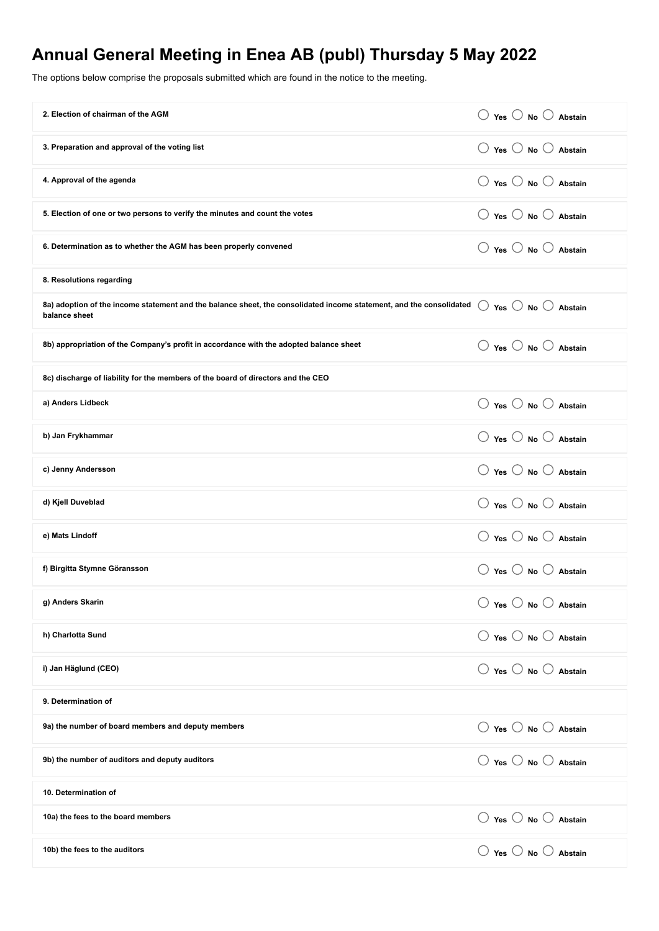## **Annual General Meeting in Enea AB (publ) Thursday 5 May 2022**

The options below comprise the proposals submitted which are found in the notice to the meeting.

| 2. Election of chairman of the AGM                                                                                                   | $\bigcirc$ Yes $\bigcirc$ No $\bigcirc$ Abstain |
|--------------------------------------------------------------------------------------------------------------------------------------|-------------------------------------------------|
| 3. Preparation and approval of the voting list                                                                                       | $\bigcirc$ Yes $\bigcirc$ No $\bigcirc$ Abstain |
| 4. Approval of the agenda                                                                                                            | $\bigcirc$ Yes $\bigcirc$ No $\bigcirc$ Abstain |
| 5. Election of one or two persons to verify the minutes and count the votes                                                          | $\bigcirc$ Yes $\bigcirc$ No $\bigcirc$ Abstain |
| 6. Determination as to whether the AGM has been properly convened                                                                    | $\bigcirc$ Yes $\bigcirc$ No $\bigcirc$ Abstain |
| 8. Resolutions regarding                                                                                                             |                                                 |
| 8a) adoption of the income statement and the balance sheet, the consolidated income statement, and the consolidated<br>balance sheet | $\bigcirc$ Yes $\bigcirc$ No $\bigcirc$ Abstain |
| 8b) appropriation of the Company's profit in accordance with the adopted balance sheet                                               | ○ Yes ○ No ○ Abstain                            |
| 8c) discharge of liability for the members of the board of directors and the CEO                                                     |                                                 |
| a) Anders Lidbeck                                                                                                                    | $\bigcirc$ Yes $\bigcirc$ No $\bigcirc$ Abstain |
| b) Jan Frykhammar                                                                                                                    | $\bigcirc$ Yes $\bigcirc$ No $\bigcirc$ Abstain |
| c) Jenny Andersson                                                                                                                   | $\bigcirc$ Yes $\bigcirc$ No $\bigcirc$ Abstain |
| d) Kjell Duveblad                                                                                                                    | $\bigcirc$ Yes $\bigcirc$ No $\bigcirc$ Abstain |
| e) Mats Lindoff                                                                                                                      | $\bigcirc$ Yes $\bigcirc$ No $\bigcirc$ Abstain |
| f) Birgitta Stymne Göransson                                                                                                         | $\bigcirc$ Yes $\bigcirc$ No $\bigcirc$ Abstain |
| g) Anders Skarin                                                                                                                     | $\bigcirc$ Yes $\bigcirc$ No $\bigcirc$ Abstain |
| h) Charlotta Sund                                                                                                                    | $\bigcirc$ Yes $\bigcirc$ No $\bigcirc$ Abstain |
| i) Jan Häglund (CEO)                                                                                                                 | $\bigcirc$ Yes $\bigcirc$ No $\bigcirc$ Abstain |
| 9. Determination of                                                                                                                  |                                                 |
| 9a) the number of board members and deputy members                                                                                   | $\bigcirc$ Yes $\bigcirc$ No $\bigcirc$ Abstain |
| 9b) the number of auditors and deputy auditors                                                                                       | ○ Yes ○ No ○ Abstain                            |
| 10. Determination of                                                                                                                 |                                                 |
| 10a) the fees to the board members                                                                                                   | $\bigcirc$ Yes $\bigcirc$ No $\bigcirc$ Abstain |
| 10b) the fees to the auditors                                                                                                        | ○ Yes ○ No ○ Abstain                            |